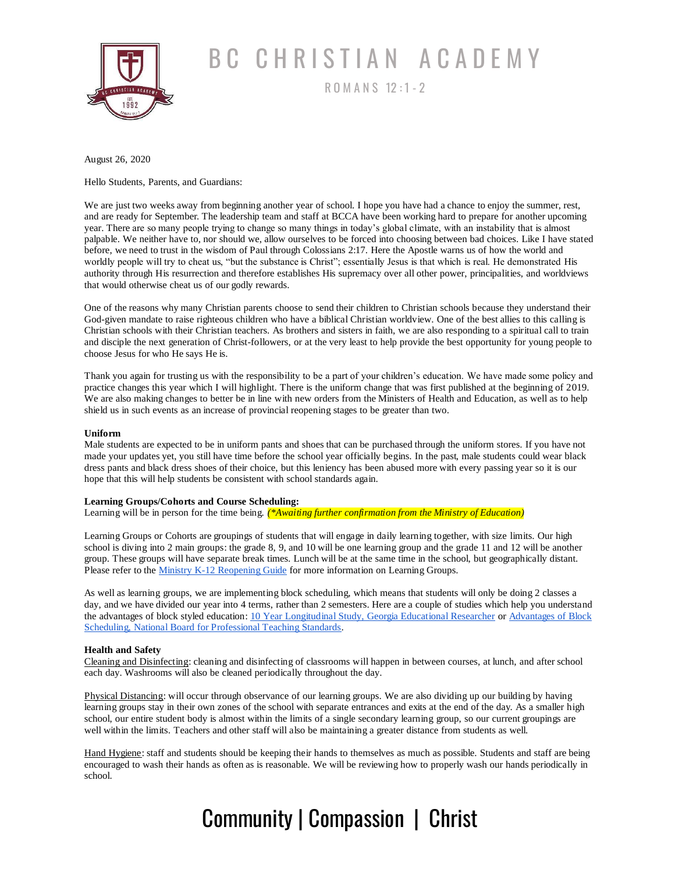

# BC CHRISTIAN ACADEMY

R O M A N S 12 : 1 - <sup>2</sup>

August 26, 2020

Hello Students, Parents, and Guardians:

We are just two weeks away from beginning another year of school. I hope you have had a chance to enjoy the summer, rest, and are ready for September. The leadership team and staff at BCCA have been working hard to prepare for another upcoming year. There are so many people trying to change so many things in today's global climate, with an instability that is almost palpable. We neither have to, nor should we, allow ourselves to be forced into choosing between bad choices. Like I have stated before, we need to trust in the wisdom of Paul through Colossians 2:17. Here the Apostle warns us of how the world and worldly people will try to cheat us, "but the substance is Christ"; essentially Jesus is that which is real. He demonstrated His authority through His resurrection and therefore establishes His supremacy over all other power, principalities, and worldviews that would otherwise cheat us of our godly rewards.

One of the reasons why many Christian parents choose to send their children to Christian schools because they understand their God-given mandate to raise righteous children who have a biblical Christian worldview. One of the best allies to this calling is Christian schools with their Christian teachers. As brothers and sisters in faith, we are also responding to a spiritual call to train and disciple the next generation of Christ-followers, or at the very least to help provide the best opportunity for young people to choose Jesus for who He says He is.

Thank you again for trusting us with the responsibility to be a part of your children's education. We have made some policy and practice changes this year which I will highlight. There is the uniform change that was first published at the beginning of 2019. We are also making changes to better be in line with new orders from the Ministers of Health and Education, as well as to help shield us in such events as an increase of provincial reopening stages to be greater than two.

#### **Uniform**

Male students are expected to be in uniform pants and shoes that can be purchased through the uniform stores. If you have not made your updates yet, you still have time before the school year officially begins. In the past, male students could wear black dress pants and black dress shoes of their choice, but this leniency has been abused more with every passing year so it is our hope that this will help students be consistent with school standards again.

#### **Learning Groups/Cohorts and Course Scheduling:**

Learning will be in person for the time being. *(\*Awaiting further confirmation from the Ministry of Education)*

Learning Groups or Cohorts are groupings of students that will engage in daily learning together, with size limits. Our high school is diving into 2 main groups: the grade 8, 9, and 10 will be one learning group and the grade 11 and 12 will be another group. These groups will have separate break times. Lunch will be at the same time in the school, but geographically distant. Please refer to the *Ministry K-12 Reopening Guide* for more information on Learning Groups.

As well as learning groups, we are implementing block scheduling, which means that students will only be doing 2 classes a day, and we have divided our year into 4 terms, rather than 2 semesters. Here are a couple of studies which help you understand the advantages of block styled education[: 10 Year Longitudinal Study, Georgia Educational Researcher](https://digitalcommons.georgiasouthern.edu/gerjournal/vol7/iss1/2/) o[r Advantages of Block](https://www.nbpts.org/why-more-high-schools-should-have-a-block-schedule/)  [Scheduling, National Board for Professional Teaching Standards.](https://www.nbpts.org/why-more-high-schools-should-have-a-block-schedule/)

### **Health and Safety**

Cleaning and Disinfecting: cleaning and disinfecting of classrooms will happen in between courses, at lunch, and after school each day. Washrooms will also be cleaned periodically throughout the day.

Physical Distancing: will occur through observance of our learning groups. We are also dividing up our building by having learning groups stay in their own zones of the school with separate entrances and exits at the end of the day. As a smaller high school, our entire student body is almost within the limits of a single secondary learning group, so our current groupings are well within the limits. Teachers and other staff will also be maintaining a greater distance from students as well.

Hand Hygiene: staff and students should be keeping their hands to themselves as much as possible. Students and staff are being encouraged to wash their hands as often as is reasonable. We will be reviewing how to properly wash our hands periodically in school.

## Community | Compassion | Christ